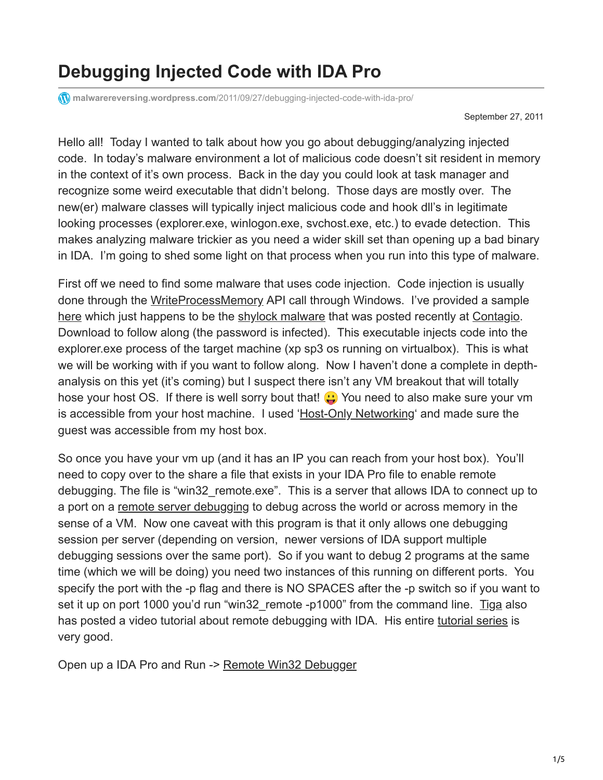## **Debugging Injected Code with IDA Pro**

**malwarereversing.wordpress.com**[/2011/09/27/debugging-injected-code-with-ida-pro/](https://malwarereversing.wordpress.com/2011/09/27/debugging-injected-code-with-ida-pro/)

September 27, 2011

Hello all! Today I wanted to talk about how you go about debugging/analyzing injected code. In today's malware environment a lot of malicious code doesn't sit resident in memory in the context of it's own process. Back in the day you could look at task manager and recognize some weird executable that didn't belong. Those days are mostly over. The new(er) malware classes will typically inject malicious code and hook dll's in legitimate looking processes (explorer.exe, winlogon.exe, svchost.exe, etc.) to evade detection. This makes analyzing malware trickier as you need a wider skill set than opening up a bad binary in IDA. I'm going to shed some light on that process when you run into this type of malware.

First off we need to find some malware that uses code injection. Code injection is usually done through the [WriteProcessMemory](http://msdn.microsoft.com/en-us/library/ms681674%28VS.85%29.aspx) API call through Windows. I've provided a sample [here](http://www.mediafire.com/?0vowzbf40gp9s8f) which just happens to be the [shylock malware](http://www.mediafire.com/?0vowzbf40gp9s8f) that was posted recently at [Contagio.](http://contagiodump.blogspot.com/) Download to follow along (the password is infected). This executable injects code into the explorer.exe process of the target machine (xp sp3 os running on virtualbox). This is what we will be working with if you want to follow along. Now I haven't done a complete in depthanalysis on this yet (it's coming) but I suspect there isn't any VM breakout that will totally hose your host OS. If there is well sorry bout that!  $\binom{1}{1}$  You need to also make sure your vm is accessible from your host machine. I used ['Host-Only Networking'](http://www.virtualbox.org/manual/ch06.html) and made sure the guest was accessible from my host box.

So once you have your vm up (and it has an IP you can reach from your host box). You'll need to copy over to the share a file that exists in your IDA Pro file to enable remote debugging. The file is "win32\_remote.exe". This is a server that allows IDA to connect up to a port on a [remote server debugging](http://www.hex-rays.com/idapro/idadoc/1463.shtml) to debug across the world or across memory in the sense of a VM. Now one caveat with this program is that it only allows one debugging session per server (depending on version, newer versions of IDA support multiple debugging sessions over the same port). So if you want to debug 2 programs at the same time (which we will be doing) you need two instances of this running on different ports. You specify the port with the -p flag and there is NO SPACES after the -p switch so if you want to set it up on port 1000 you'd run "win32 remote -p1000" from the command line. [Tiga](http://www.woodmann.com/TiGa/) also has posted a video tutorial about remote debugging with IDA. His entire [tutorial series](http://www.woodmann.com/TiGa/) is very good.

Open up a IDA Pro and Run -> [Remote Win32 Debugger](http://www.hex-rays.com/idapro/idadoc/1463.shtml)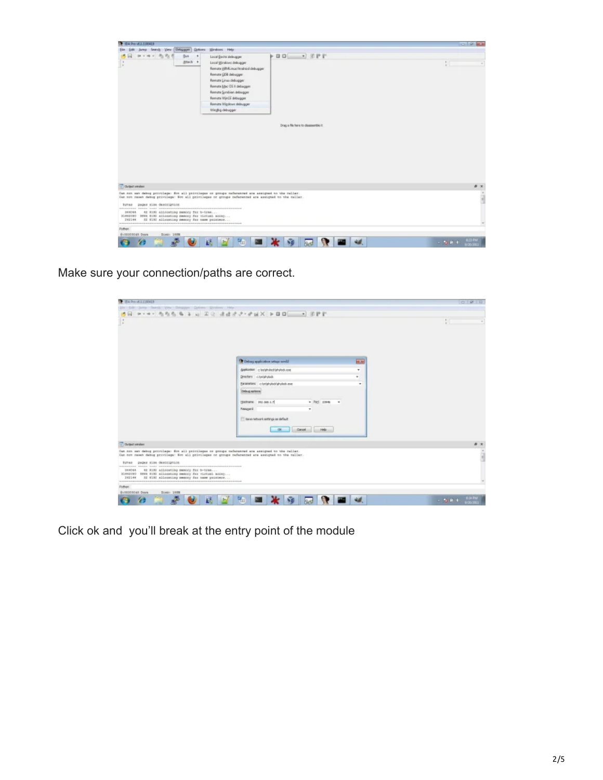

Make sure your connection/paths are correct.

| V T54 Pro US I 1100419                                                                                                                                                                                 |                                                                          |             | $-14$                              |
|--------------------------------------------------------------------------------------------------------------------------------------------------------------------------------------------------------|--------------------------------------------------------------------------|-------------|------------------------------------|
| (4) June Seary You Designer Grims System Hdy<br><b>PONT</b>                                                                                                                                            |                                                                          |             |                                    |
| ×                                                                                                                                                                                                      |                                                                          |             |                                    |
|                                                                                                                                                                                                        | <sup>1</sup> Deliver application setup week!                             | <b>HOME</b> |                                    |
|                                                                                                                                                                                                        | deels allen c lestehulooktehulook exe                                    | ÷           |                                    |
|                                                                                                                                                                                                        | Drectors c/vviatulods                                                    | w.          |                                    |
|                                                                                                                                                                                                        | ENWIRKERS criminal products and                                          | ٠           |                                    |
|                                                                                                                                                                                                        | <b>Celauj</b> aphira.                                                    |             |                                    |
|                                                                                                                                                                                                        | Hostname 210, 268.1.7<br>$=$ Part 23946 $=$                              |             |                                    |
|                                                                                                                                                                                                        | <b>Paining</b> of<br>۰                                                   |             |                                    |
|                                                                                                                                                                                                        |                                                                          |             |                                    |
|                                                                                                                                                                                                        | [1] Save network settings as default<br>$\alpha$<br>Canad<br><b>Hele</b> |             |                                    |
| <b>Clubball emplant</b>                                                                                                                                                                                |                                                                          |             |                                    |
| Can not sut datog provilaga: Ent all privilages or groups radamented are assigned to the maller.<br>Can not rapet datug provilage: Enn all privilages or groups referenced are assigned to the nation. |                                                                          |             | i                                  |
| bytes pages size description                                                                                                                                                                           |                                                                          |             |                                    |
| 42 RISI Allocating memory for b-towe<br>044064<br>EDMOND SMS EIN allocating memory for vistual array<br>32 EIXI allocating memory for name pointers<br>T42144                                          |                                                                          |             |                                    |
| -----------<br>Dython                                                                                                                                                                                  | <b>CONTRACTOR</b>                                                        |             |                                    |
| <b>BIODODOGE DIAN</b><br>Siam 1988                                                                                                                                                                     |                                                                          |             |                                    |
| Æ                                                                                                                                                                                                      | <b>NO</b>                                                                |             | $\sim 10^{-1}$ and $\sim 10^{-10}$ |

Click ok and you'll break at the entry point of the module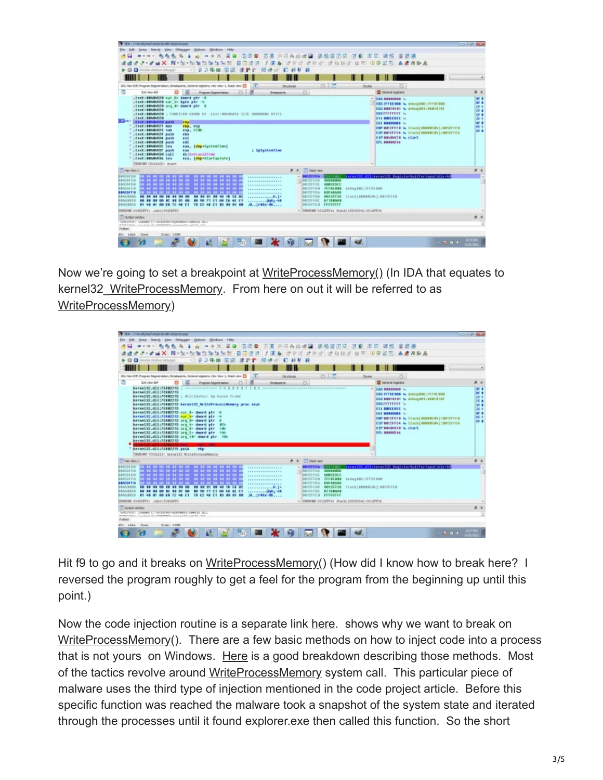| TEA - c'incluinded/ortalect.ide (stulectura)                                                                                                                                                                                                                                                                                                                                                                                                                                                                                                                                                                                                                                                                                                                                                                                                                                                                                             | <b>COLOR BE</b>                                                                                                                                                                                                                                                                                                                                                                                                               |
|------------------------------------------------------------------------------------------------------------------------------------------------------------------------------------------------------------------------------------------------------------------------------------------------------------------------------------------------------------------------------------------------------------------------------------------------------------------------------------------------------------------------------------------------------------------------------------------------------------------------------------------------------------------------------------------------------------------------------------------------------------------------------------------------------------------------------------------------------------------------------------------------------------------------------------------|-------------------------------------------------------------------------------------------------------------------------------------------------------------------------------------------------------------------------------------------------------------------------------------------------------------------------------------------------------------------------------------------------------------------------------|
| Jurea Search View Delayager Quices Windows Help<br>548                                                                                                                                                                                                                                                                                                                                                                                                                                                                                                                                                                                                                                                                                                                                                                                                                                                                                   |                                                                                                                                                                                                                                                                                                                                                                                                                               |
| A -+X A @ 100条 B @ 22A \$ d @ 1255 B O \$ 12 B B B B B B B B                                                                                                                                                                                                                                                                                                                                                                                                                                                                                                                                                                                                                                                                                                                                                                                                                                                                             |                                                                                                                                                                                                                                                                                                                                                                                                                               |
| 医遗传 人面角 计数据 过效者 过敏能感 丝百 医甲苯乙 血病调整点<br>■ X 界·加·加加加加加加                                                                                                                                                                                                                                                                                                                                                                                                                                                                                                                                                                                                                                                                                                                                                                                                                                                                                     |                                                                                                                                                                                                                                                                                                                                                                                                                               |
| 日の身面<br>о<br>Anche Villabriet debubbl:                                                                                                                                                                                                                                                                                                                                                                                                                                                                                                                                                                                                                                                                                                                                                                                                                                                                                                   |                                                                                                                                                                                                                                                                                                                                                                                                                               |
|                                                                                                                                                                                                                                                                                                                                                                                                                                                                                                                                                                                                                                                                                                                                                                                                                                                                                                                                          |                                                                                                                                                                                                                                                                                                                                                                                                                               |
| 四上面<br>ESA lieu-ESP, Program Degmentation, Breatquants, Denes al registers, Hex View-1, Stack view ES<br>1.177<br>Structures.<br><b>Enuma</b>                                                                                                                                                                                                                                                                                                                                                                                                                                                                                                                                                                                                                                                                                                                                                                                            | o                                                                                                                                                                                                                                                                                                                                                                                                                             |
| 面<br>$-0.18$<br>o.<br>ESL Wen-40P<br>Program Segmentation<br><b>Breakpoints</b>                                                                                                                                                                                                                                                                                                                                                                                                                                                                                                                                                                                                                                                                                                                                                                                                                                                          | $B - x$<br><b>ET General Higgsters</b>                                                                                                                                                                                                                                                                                                                                                                                        |
| .test:##NMAS20 war 8= dawrd ptr -8<br>test:##4MA99 var 4- bete atr -4<br>.text:##N#N92B ang 0- dwerd ptr 1<br>tret:##v#v50<br>THE GROSSODE STIP ARRAIGNMENT TO SHOW HEIT I DEVELOPMENT IN A LIFE OF A REAL PROPERTY.<br>test:#BluBiG26<br>¶ D—+ i<br><b>.test:BBNBIA70 pash</b><br><b>PER</b><br>test:##4#401 mou<br><b>ebs.</b> #10<br>.twst:##N#N923 cub<br>esp. Srm.<br>dent: 250484525 pash<br>eks.<br>test:##v#w99# auch<br><b>PES</b><br><b>Cent:BBNBM2B push</b><br>e dit<br>test: 00000001 ins<br>eas. [obp-SystemTime]<br><b>Cent:BBNBM2F pash</b><br><i>i</i> labostentine<br>e a n<br>test:##4MAGOR call<br>da platincallias<br>Cod BRANGARD, 165<br>eca, [dop+1EartupInfo]                                                                                                                                                                                                                                                   | or a<br>* EAX ###MAN !<br>or e<br>ESX TFFEE 000 % debug@001:7770C@00<br>$U^*$<br>ECC BBB10101 % dirtugators : peananon<br>TE #<br><b>FOX FEFFEFFF</b> Se<br><b>SF B</b><br><b><i>SEI BREEFEE In</i></b><br>26.1<br><b>AP B</b><br>CDI @DODDOBS IL<br><b>PE 1</b><br>ESP BUTCFFFB & STACKE DODGES BY LODTZFFF B<br>$\sim$<br>ESP @BISFFE4 % Stack[00000504];0012FFC4<br><b>EIP BOUGHTED &amp; STAFT</b><br><b>EFL BBBBD NS</b> |
| USINGER COASAS201 PORTS                                                                                                                                                                                                                                                                                                                                                                                                                                                                                                                                                                                                                                                                                                                                                                                                                                                                                                                  |                                                                                                                                                                                                                                                                                                                                                                                                                               |
| 8 X Cloud view<br><b>Cirks Wes-1</b>                                                                                                                                                                                                                                                                                                                                                                                                                                                                                                                                                                                                                                                                                                                                                                                                                                                                                                     | <b>B</b> 3                                                                                                                                                                                                                                                                                                                                                                                                                    |
| <b><i>BENSINES</i></b><br><b>CONSTITUTION</b><br>****************<br><b>88 99 00 20 99 99 90 1</b><br><b>BRASEFCB</b><br>.<br><b>DUCCE BALL</b><br><b>RETAINER</b><br><b>****************</b><br>001217CC 0080E0EC<br><b>BEATIFES</b><br><b>22 33 56 22 23 33 56 1</b><br>.<br><b>****************</b><br><b>REACOCK 0</b><br>00125508 7FF0EB88<br>cebugeds: 7FFBE000<br><b>22 33 00 EE 22 33 00</b><br><b>****************</b><br><b>EBASDET IS</b><br><b><i>RETZFEDA BRAND</i></b><br><b>****************</b><br><b>BRAARBER</b><br>00125509<br>Stack[####K#N]:##fZFFE#<br><b>CO 22 03 00 22 23</b><br><b>22 83 91</b><br>. H. 1 <b>.</b><br>2013/2010<br><b>第最高心透度</b><br><b><i>DE 33 55 00</i></b><br><b>88 GT CO</b><br><b>BN 98 71 81 AN CA 68</b><br><b><i>RETRIEDE: 87188088</i></b><br><b>COMPANY</b><br>コンティー・コール(制御スー格集)<br>81 48 91 00 38 72 48 E1 70 C2 48 E1 80 00 01 88<br>MOINTEG FFFFFFFF<br>00458879<br>.D. .: r89x-H0 | PESYZ#67 kermel32.dll:kermel32 RegisterWaitFeelmputIdIe-kM                                                                                                                                                                                                                                                                                                                                                                    |
| OTTSEWOODLOGAT, ITTSENDE MACHINE<br>- UNKNOWN COLDITION: Stack[B0000504];001137904                                                                                                                                                                                                                                                                                                                                                                                                                                                                                                                                                                                                                                                                                                                                                                                                                                                       |                                                                                                                                                                                                                                                                                                                                                                                                                               |
| Clubat endan<br>TERESTICS: ISBND CTTRIBUONSTRUBBENGSTCHAETS.KLI<br>RADEANNA  FALLELE, PLANERSHORN, ALLELLAND, AULTR., 2014.<br>Dython                                                                                                                                                                                                                                                                                                                                                                                                                                                                                                                                                                                                                                                                                                                                                                                                    | 8 <sup>2</sup>                                                                                                                                                                                                                                                                                                                                                                                                                |
| M3i Lille<br>Down<br><b>ELAX: 3808</b>                                                                                                                                                                                                                                                                                                                                                                                                                                                                                                                                                                                                                                                                                                                                                                                                                                                                                                   |                                                                                                                                                                                                                                                                                                                                                                                                                               |
| Æ                                                                                                                                                                                                                                                                                                                                                                                                                                                                                                                                                                                                                                                                                                                                                                                                                                                                                                                                        | <b>LIKEM</b><br>$-76.00 - 4.00$                                                                                                                                                                                                                                                                                                                                                                                               |

Now we're going to set a breakpoint at [WriteProcessMemory\(\)](http://msdn.microsoft.com/en-us/library/ms681674%28VS.85%29.aspx) (In IDA that equates to kernel32 [WriteProcessMemory](http://msdn.microsoft.com/en-us/library/ms681674%28VS.85%29.aspx). From here on out it will be referred to as [WriteProcessMemory](http://msdn.microsoft.com/en-us/library/ms681674%28VS.85%29.aspx))



Hit f9 to go and it breaks on [WriteProcessMemory](http://msdn.microsoft.com/en-us/library/ms681674%28VS.85%29.aspx)() (How did I know how to break here? I reversed the program roughly to get a feel for the program from the beginning up until this point.)

Now the code injection routine is a separate link [here](http://pastebin.com/wzMMxF8q). shows why we want to break on [WriteProcessMemory](http://msdn.microsoft.com/en-us/library/ms681674%28VS.85%29.aspx)(). There are a few basic methods on how to inject code into a process that is not yours on Windows. [Here](http://www.codeproject.com/KB/threads/winspy.aspx) is a good breakdown describing those methods. Most of the tactics revolve around [WriteProcessMemory](http://msdn.microsoft.com/en-us/library/ms681674%28VS.85%29.aspx) system call. This particular piece of malware uses the third type of injection mentioned in the code project article. Before this specific function was reached the malware took a snapshot of the system state and iterated through the processes until it found explorer.exe then called this function. So the short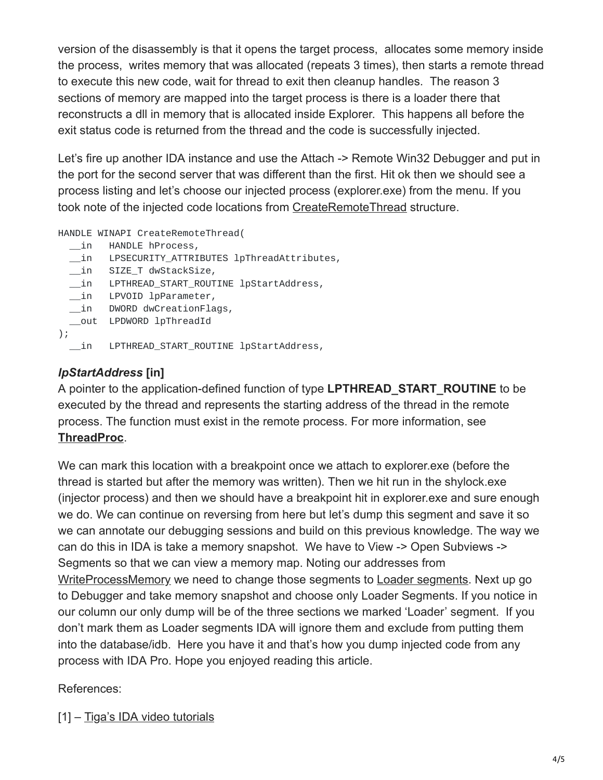version of the disassembly is that it opens the target process, allocates some memory inside the process, writes memory that was allocated (repeats 3 times), then starts a remote thread to execute this new code, wait for thread to exit then cleanup handles. The reason 3 sections of memory are mapped into the target process is there is a loader there that reconstructs a dll in memory that is allocated inside Explorer. This happens all before the exit status code is returned from the thread and the code is successfully injected.

Let's fire up another IDA instance and use the Attach -> Remote Win32 Debugger and put in the port for the second server that was different than the first. Hit ok then we should see a process listing and let's choose our injected process (explorer.exe) from the menu. If you took note of the injected code locations from [CreateRemoteThread](http://msdn.microsoft.com/en-us/library/windows/desktop/ms682437%28v=vs.85%29.aspx) structure.

HANDLE WINAPI CreateRemoteThread(

- \_\_in HANDLE hProcess,
- \_\_in LPSECURITY\_ATTRIBUTES lpThreadAttributes,
- \_\_in SIZE\_T dwStackSize,
- \_\_in LPTHREAD\_START\_ROUTINE lpStartAddress,
- \_\_in LPVOID lpParameter,
- \_\_in DWORD dwCreationFlags,
- \_\_out LPDWORD lpThreadId
- $)$ ;
	- \_\_in LPTHREAD\_START\_ROUTINE lpStartAddress,

## *lpStartAddress* **[in]**

A pointer to the application-defined function of type **LPTHREAD\_START\_ROUTINE** to be executed by the thread and represents the starting address of the thread in the remote process. The function must exist in the remote process. For more information, see **[ThreadProc](http://msdn.microsoft.com/en-us/library/windows/desktop/ms686736%28v=vs.85%29.aspx)**.

We can mark this location with a breakpoint once we attach to explorer.exe (before the thread is started but after the memory was written). Then we hit run in the shylock.exe (injector process) and then we should have a breakpoint hit in explorer.exe and sure enough we do. We can continue on reversing from here but let's dump this segment and save it so we can annotate our debugging sessions and build on this previous knowledge. The way we can do this in IDA is take a memory snapshot. We have to View -> Open Subviews -> Segments so that we can view a memory map. Noting our addresses from [WriteProcessMemory](http://msdn.microsoft.com/en-us/library/ms681674%28VS.85%29.aspx) we need to change those segments to [Loader segments.](http://www.hex-rays.com/idapro/idadoc/514.shtml) Next up go to Debugger and take memory snapshot and choose only Loader Segments. If you notice in our column our only dump will be of the three sections we marked 'Loader' segment. If you don't mark them as Loader segments IDA will ignore them and exclude from putting them into the database/idb. Here you have it and that's how you dump injected code from any process with IDA Pro. Hope you enjoyed reading this article.

## References:

[1] – [Tiga's IDA video tutorials](http://www.woodmann.com/TiGa/)